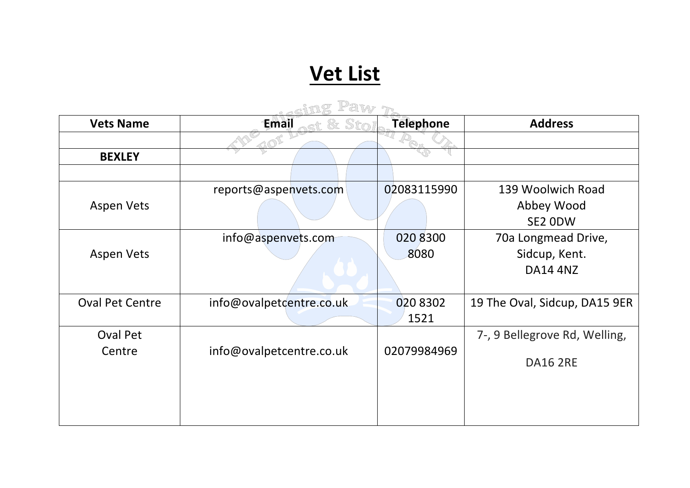## **Vet List**

| <b>Vets Name</b>       | Email                    | <b>Telephone</b> | <b>Address</b>                |  |
|------------------------|--------------------------|------------------|-------------------------------|--|
|                        |                          |                  |                               |  |
| <b>BEXLEY</b>          |                          |                  |                               |  |
|                        |                          |                  |                               |  |
|                        | reports@aspenvets.com    | 02083115990      | 139 Woolwich Road             |  |
| <b>Aspen Vets</b>      |                          |                  | Abbey Wood                    |  |
|                        |                          |                  | SE2 ODW                       |  |
|                        | info@aspenvets.com       | 020 8300         | 70a Longmead Drive,           |  |
| <b>Aspen Vets</b>      |                          | 8080             | Sidcup, Kent.                 |  |
|                        |                          |                  | <b>DA14 4NZ</b>               |  |
|                        |                          |                  |                               |  |
| <b>Oval Pet Centre</b> | info@ovalpetcentre.co.uk | 020 8302         | 19 The Oval, Sidcup, DA15 9ER |  |
|                        |                          | 1521             |                               |  |
| <b>Oval Pet</b>        |                          |                  | 7-, 9 Bellegrove Rd, Welling, |  |
| Centre                 | info@ovalpetcentre.co.uk | 02079984969      |                               |  |
|                        |                          |                  | <b>DA16 2RE</b>               |  |
|                        |                          |                  |                               |  |
|                        |                          |                  |                               |  |
|                        |                          |                  |                               |  |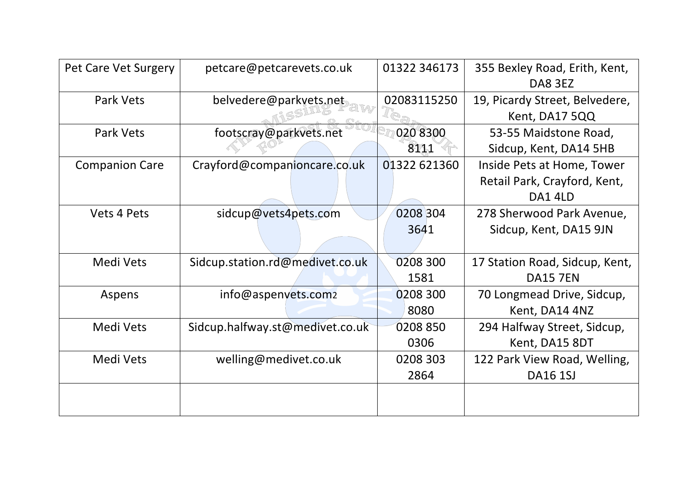| Pet Care Vet Surgery  | petcare@petcarevets.co.uk       | 01322 346173 | 355 Bexley Road, Erith, Kent,<br>DA8 3EZ |
|-----------------------|---------------------------------|--------------|------------------------------------------|
| Park Vets             | belvedere@parkyets.net          | 02083115250  | 19, Picardy Street, Belvedere,           |
|                       |                                 |              | Kent, DA17 5QQ                           |
| Park Vets             | footscray@parkvets.net          | 0208300      | 53-55 Maidstone Road,                    |
|                       |                                 | 8111         | Sidcup, Kent, DA14 5HB                   |
| <b>Companion Care</b> | Crayford@companioncare.co.uk    | 01322 621360 | Inside Pets at Home, Tower               |
|                       |                                 |              | Retail Park, Crayford, Kent,             |
|                       |                                 |              | DA14LD                                   |
| Vets 4 Pets           | sidcup@vets4pets.com            | 0208 304     | 278 Sherwood Park Avenue,                |
|                       |                                 | 3641         | Sidcup, Kent, DA15 9JN                   |
|                       |                                 |              |                                          |
| Medi Vets             | Sidcup.station.rd@medivet.co.uk | 0208 300     | 17 Station Road, Sidcup, Kent,           |
|                       |                                 | 1581         | <b>DA15 7EN</b>                          |
| Aspens                | info@aspenvets.com2             | 0208 300     | 70 Longmead Drive, Sidcup,               |
|                       |                                 | 8080         | Kent, DA14 4NZ                           |
| Medi Vets             | Sidcup.halfway.st@medivet.co.uk | 0208 850     | 294 Halfway Street, Sidcup,              |
|                       |                                 | 0306         | Kent, DA15 8DT                           |
| Medi Vets             | welling@medivet.co.uk           | 0208 303     | 122 Park View Road, Welling,             |
|                       |                                 | 2864         | <b>DA16 1SJ</b>                          |
|                       |                                 |              |                                          |
|                       |                                 |              |                                          |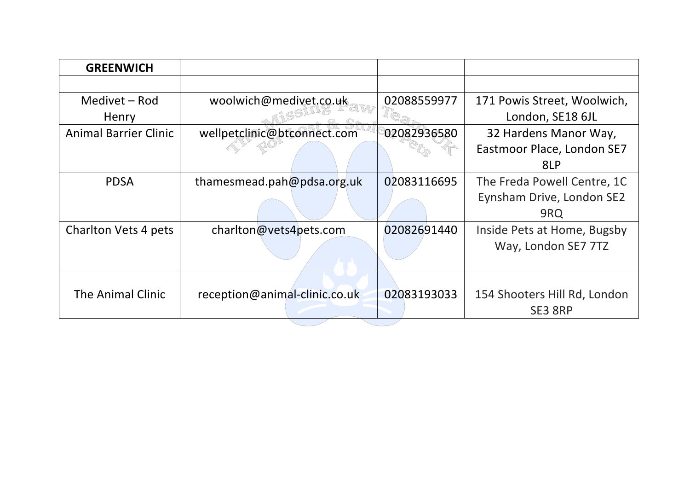| <b>GREENWICH</b>             |                               |             |                              |
|------------------------------|-------------------------------|-------------|------------------------------|
|                              |                               |             |                              |
| Medivet – Rod                | woolwich@medivet.co.uk        | 02088559977 | 171 Powis Street, Woolwich,  |
| Henry                        |                               |             | London, SE18 6JL             |
| <b>Animal Barrier Clinic</b> | wellpetclinic@btconnect.com   | 02082936580 | 32 Hardens Manor Way,        |
|                              |                               |             | Eastmoor Place, London SE7   |
|                              |                               |             | 8LP                          |
| <b>PDSA</b>                  | thamesmead.pah@pdsa.org.uk    | 02083116695 | The Freda Powell Centre, 1C  |
|                              |                               |             | Eynsham Drive, London SE2    |
|                              |                               |             | 9RQ                          |
| Charlton Vets 4 pets         | charlton@vets4pets.com        | 02082691440 | Inside Pets at Home, Bugsby  |
|                              |                               |             | Way, London SE7 7TZ          |
|                              |                               |             |                              |
|                              |                               |             |                              |
| The Animal Clinic            | reception@animal-clinic.co.uk | 02083193033 | 154 Shooters Hill Rd, London |
|                              |                               |             | SE3 8RP                      |
|                              |                               |             |                              |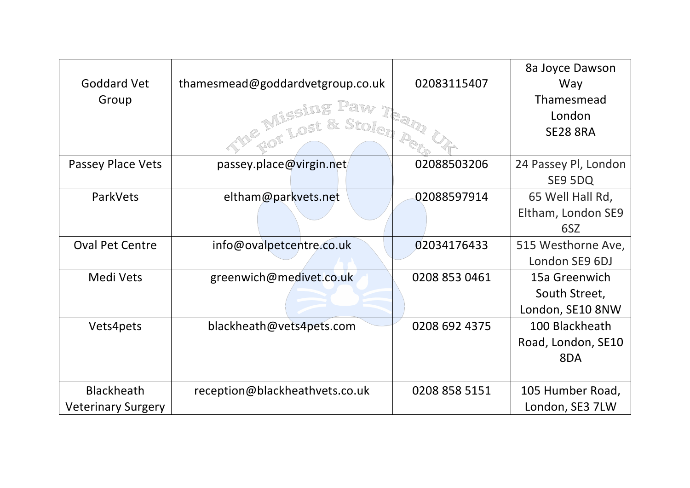|                           |                                  |               | 8a Joyce Dawson      |
|---------------------------|----------------------------------|---------------|----------------------|
| <b>Goddard Vet</b>        | thamesmead@goddardvetgroup.co.uk | 02083115407   | Way                  |
| Group                     |                                  |               | Thamesmead           |
|                           |                                  |               | London               |
|                           |                                  |               | <b>SE28 8RA</b>      |
|                           |                                  |               |                      |
| <b>Passey Place Vets</b>  | passey.place@virgin.net          | 02088503206   | 24 Passey Pl, London |
|                           |                                  |               | SE9 5DQ              |
| ParkVets                  | eltham@parkvets.net              | 02088597914   | 65 Well Hall Rd,     |
|                           |                                  |               | Eltham, London SE9   |
|                           |                                  |               | 6SZ                  |
| <b>Oval Pet Centre</b>    | info@ovalpetcentre.co.uk         | 02034176433   | 515 Westhorne Ave,   |
|                           |                                  |               | London SE9 6DJ       |
| Medi Vets                 | greenwich@medivet.co.uk          | 0208 853 0461 | 15a Greenwich        |
|                           |                                  |               | South Street,        |
|                           |                                  |               | London, SE10 8NW     |
| Vets4pets                 | blackheath@vets4pets.com         | 0208 692 4375 | 100 Blackheath       |
|                           |                                  |               | Road, London, SE10   |
|                           |                                  |               | 8DA                  |
|                           |                                  |               |                      |
| <b>Blackheath</b>         | reception@blackheathvets.co.uk   | 0208 858 5151 | 105 Humber Road,     |
| <b>Veterinary Surgery</b> |                                  |               | London, SE3 7LW      |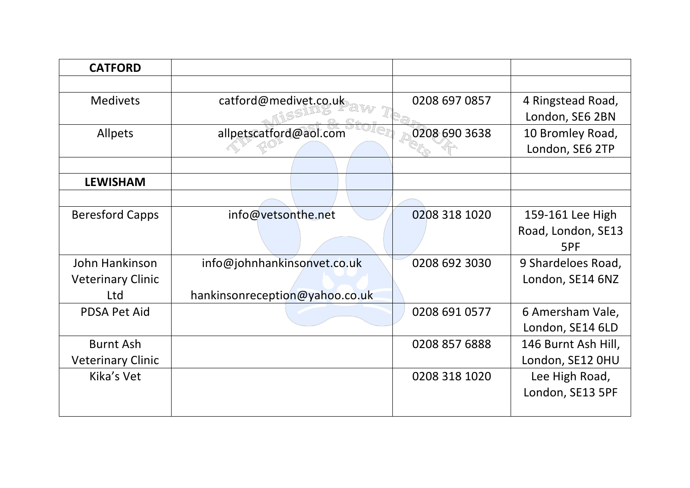| <b>CATFORD</b>           |                                |               |                                        |
|--------------------------|--------------------------------|---------------|----------------------------------------|
|                          |                                |               |                                        |
| <b>Medivets</b>          | catford@medivet.co.uk          | 0208 697 0857 | 4 Ringstead Road,<br>London, SE6 2BN   |
| Allpets                  | allpetscatford@aol.com         | 0208 690 3638 | 10 Bromley Road,<br>London, SE6 2TP    |
|                          |                                |               |                                        |
| <b>LEWISHAM</b>          |                                |               |                                        |
|                          |                                |               |                                        |
| <b>Beresford Capps</b>   | info@vetsonthe.net             | 0208 318 1020 | 159-161 Lee High<br>Road, London, SE13 |
|                          |                                |               | 5PF                                    |
| John Hankinson           | info@johnhankinsonvet.co.uk    | 0208 692 3030 | 9 Shardeloes Road,                     |
| <b>Veterinary Clinic</b> |                                |               | London, SE14 6NZ                       |
| Ltd                      | hankinsonreception@yahoo.co.uk |               |                                        |
| <b>PDSA Pet Aid</b>      |                                | 0208 691 0577 | 6 Amersham Vale,                       |
|                          |                                |               | London, SE14 6LD                       |
| <b>Burnt Ash</b>         |                                | 0208 857 6888 | 146 Burnt Ash Hill,                    |
| <b>Veterinary Clinic</b> |                                |               | London, SE12 OHU                       |
| Kika's Vet               |                                | 0208 318 1020 | Lee High Road,                         |
|                          |                                |               | London, SE13 5PF                       |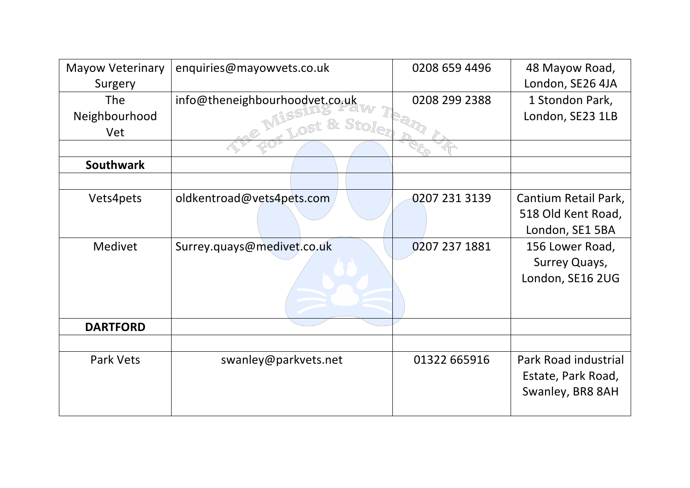| <b>Mayow Veterinary</b> | enquiries@mayowvets.co.uk      | 0208 659 4496 | 48 Mayow Road,       |
|-------------------------|--------------------------------|---------------|----------------------|
| Surgery                 |                                |               | London, SE26 4JA     |
| <b>The</b>              | info@theneighbourhoodvet.co.uk | 0208 299 2388 | 1 Stondon Park,      |
| Neighbourhood           | $\&$ Stol                      |               | London, SE23 1LB     |
| Vet                     |                                |               |                      |
|                         |                                |               |                      |
| <b>Southwark</b>        |                                |               |                      |
|                         |                                |               |                      |
| Vets4pets               | oldkentroad@vets4pets.com      | 0207 231 3139 | Cantium Retail Park, |
|                         |                                |               | 518 Old Kent Road,   |
|                         |                                |               | London, SE1 5BA      |
| Medivet                 | Surrey.quays@medivet.co.uk     | 0207 237 1881 | 156 Lower Road,      |
|                         |                                |               | Surrey Quays,        |
|                         |                                |               | London, SE16 2UG     |
|                         |                                |               |                      |
|                         |                                |               |                      |
| <b>DARTFORD</b>         |                                |               |                      |
|                         |                                |               |                      |
| <b>Park Vets</b>        | swanley@parkvets.net           | 01322 665916  | Park Road industrial |
|                         |                                |               | Estate, Park Road,   |
|                         |                                |               | Swanley, BR8 8AH     |
|                         |                                |               |                      |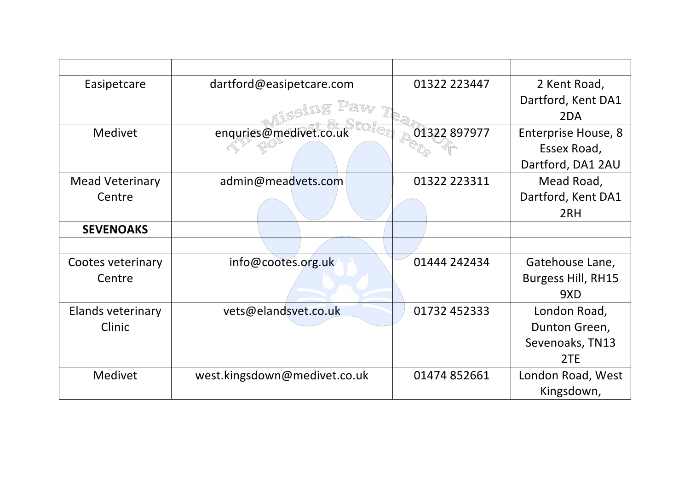| Easipetcare            | dartford@easipetcare.com     | 01322 223447 | 2 Kent Road,               |
|------------------------|------------------------------|--------------|----------------------------|
|                        |                              |              | Dartford, Kent DA1         |
|                        |                              |              | 2DA                        |
| <b>Medivet</b>         | enquries@medivet.co.uk       | 01322 897977 | <b>Enterprise House, 8</b> |
|                        |                              |              | Essex Road,                |
|                        |                              |              | Dartford, DA1 2AU          |
| <b>Mead Veterinary</b> | admin@meadvets.com           | 01322 223311 | Mead Road,                 |
| Centre                 |                              |              | Dartford, Kent DA1         |
|                        |                              |              | 2RH                        |
| <b>SEVENOAKS</b>       |                              |              |                            |
|                        |                              |              |                            |
| Cootes veterinary      | info@cootes.org.uk           | 01444 242434 | Gatehouse Lane,            |
| Centre                 |                              |              | <b>Burgess Hill, RH15</b>  |
|                        |                              |              | 9XD                        |
| Elands veterinary      | vets@elandsvet.co.uk         | 01732 452333 | London Road,               |
| Clinic                 |                              |              | Dunton Green,              |
|                        |                              |              | Sevenoaks, TN13            |
|                        |                              |              | 2TE                        |
| <b>Medivet</b>         | west.kingsdown@medivet.co.uk | 01474 852661 | London Road, West          |
|                        |                              |              | Kingsdown,                 |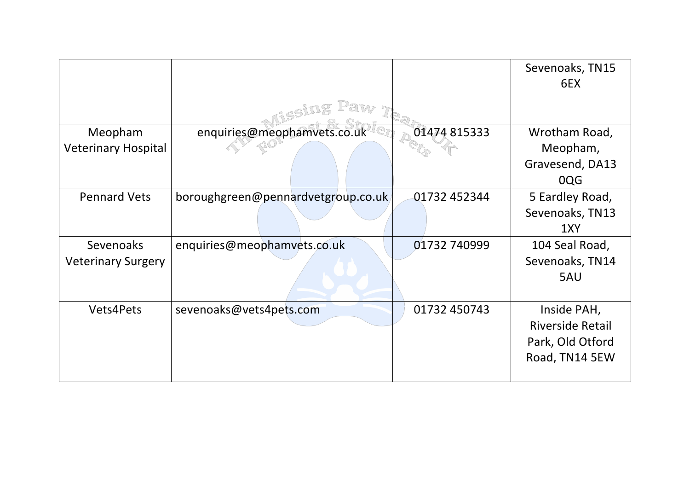|                            |                                    |              | Sevenoaks, TN15<br>6EX  |
|----------------------------|------------------------------------|--------------|-------------------------|
|                            |                                    |              |                         |
| Meopham                    | enquiries@meophamvets.co.uk        | 01474815333  | Wrotham Road,           |
| <b>Veterinary Hospital</b> |                                    |              | Meopham,                |
|                            |                                    |              | Gravesend, DA13         |
|                            |                                    |              | 0QG                     |
| <b>Pennard Vets</b>        | boroughgreen@pennardvetgroup.co.uk | 01732 452344 | 5 Eardley Road,         |
|                            |                                    |              | Sevenoaks, TN13         |
|                            |                                    |              | 1XY                     |
| <b>Sevenoaks</b>           | enquiries@meophamvets.co.uk        | 01732 740999 | 104 Seal Road,          |
| <b>Veterinary Surgery</b>  |                                    |              | Sevenoaks, TN14         |
|                            |                                    |              | 5AU                     |
| <b>Vets4Pets</b>           | sevenoaks@vets4pets.com            | 01732 450743 | Inside PAH,             |
|                            |                                    |              | <b>Riverside Retail</b> |
|                            |                                    |              | Park, Old Otford        |
|                            |                                    |              | Road, TN14 5EW          |
|                            |                                    |              |                         |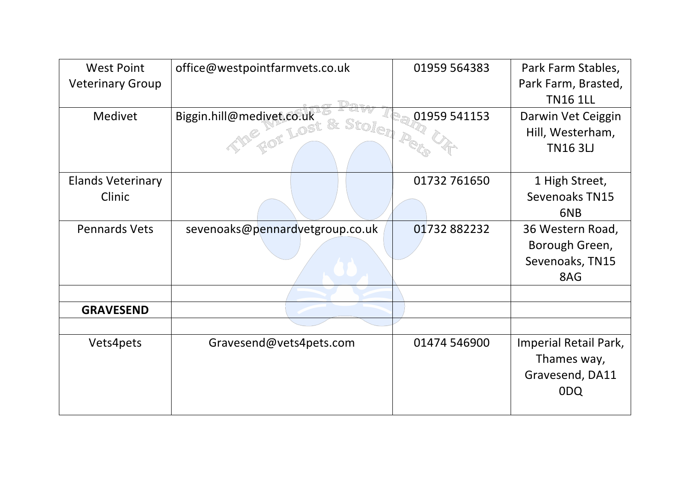| <b>West Point</b>        | office@westpointfarmvets.co.uk  | 01959 564383 | Park Farm Stables,    |
|--------------------------|---------------------------------|--------------|-----------------------|
| <b>Veterinary Group</b>  |                                 |              | Park Farm, Brasted,   |
|                          |                                 |              | <b>TN16 1LL</b>       |
| Medivet                  | Biggin.hill@medivet.co.uk       | 01959 541153 | Darwin Vet Ceiggin    |
|                          | & Stolen<br>E LOST              |              | Hill, Westerham,      |
|                          |                                 |              | <b>TN163LJ</b>        |
| <b>Elands Veterinary</b> |                                 | 01732 761650 | 1 High Street,        |
| Clinic                   |                                 |              | Sevenoaks TN15        |
|                          |                                 |              | 6NB                   |
| <b>Pennards Vets</b>     | sevenoaks@pennardvetgroup.co.uk | 01732882232  | 36 Western Road,      |
|                          |                                 |              | Borough Green,        |
|                          |                                 |              | Sevenoaks, TN15       |
|                          |                                 |              | 8AG                   |
|                          |                                 |              |                       |
| <b>GRAVESEND</b>         |                                 |              |                       |
|                          |                                 |              |                       |
| Vets4pets                | Gravesend@vets4pets.com         | 01474 546900 | Imperial Retail Park, |
|                          |                                 |              | Thames way,           |
|                          |                                 |              | Gravesend, DA11       |
|                          |                                 |              | 0DQ                   |
|                          |                                 |              |                       |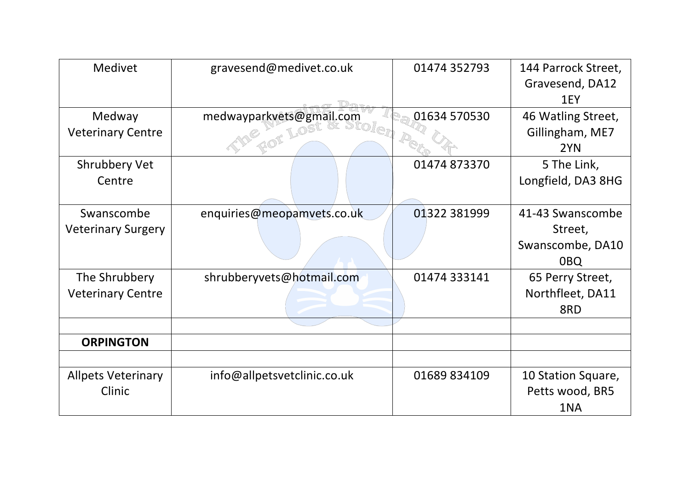| <b>Medivet</b>            | gravesend@medivet.co.uk     | 01474 352793 | 144 Parrock Street, |
|---------------------------|-----------------------------|--------------|---------------------|
|                           |                             |              | Gravesend, DA12     |
|                           |                             |              | 1EY                 |
| Medway                    | medwayparkvets@gmail.com    | 01634 570530 | 46 Watling Street,  |
| <b>Veterinary Centre</b>  |                             |              | Gillingham, ME7     |
|                           |                             |              | 2YN                 |
| <b>Shrubbery Vet</b>      |                             | 01474 873370 | 5 The Link,         |
| Centre                    |                             |              | Longfield, DA3 8HG  |
|                           |                             |              |                     |
| Swanscombe                | enquiries@meopamvets.co.uk  | 01322 381999 | 41-43 Swanscombe    |
| <b>Veterinary Surgery</b> |                             |              | Street,             |
|                           |                             |              | Swanscombe, DA10    |
|                           |                             |              | 0 <sub>BQ</sub>     |
| The Shrubbery             | shrubberyvets@hotmail.com   | 01474 333141 | 65 Perry Street,    |
| <b>Veterinary Centre</b>  |                             |              | Northfleet, DA11    |
|                           |                             |              | 8RD                 |
|                           |                             |              |                     |
| <b>ORPINGTON</b>          |                             |              |                     |
|                           |                             |              |                     |
| <b>Allpets Veterinary</b> | info@allpetsvetclinic.co.uk | 01689 834109 | 10 Station Square,  |
| Clinic                    |                             |              | Petts wood, BR5     |
|                           |                             |              | 1NA                 |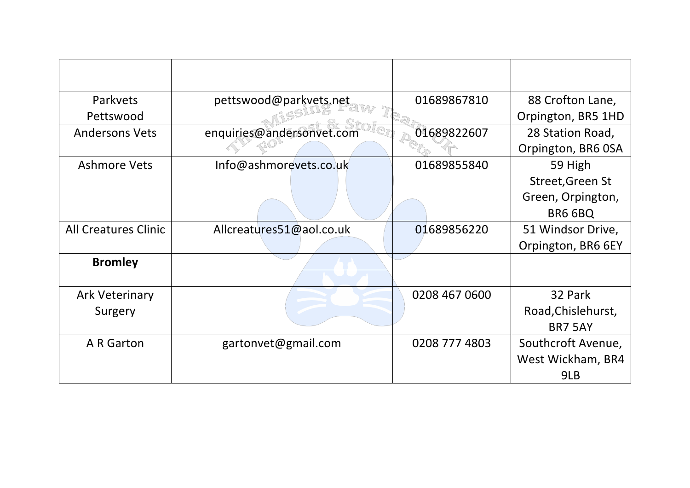| Parkvets                    | pettswood@parkvets.net    | 01689867810   | 88 Crofton Lane,   |
|-----------------------------|---------------------------|---------------|--------------------|
| Pettswood                   |                           |               | Orpington, BR5 1HD |
| <b>Andersons Vets</b>       | enquiries@andersonvet.com | 01689822607   | 28 Station Road,   |
|                             |                           |               | Orpington, BR6 OSA |
| <b>Ashmore Vets</b>         | Info@ashmorevets.co.uk    | 01689855840   | 59 High            |
|                             |                           |               | Street, Green St   |
|                             |                           |               | Green, Orpington,  |
|                             |                           |               | BR6 6BQ            |
| <b>All Creatures Clinic</b> | Allcreatures51@aol.co.uk  | 01689856220   | 51 Windsor Drive,  |
|                             |                           |               | Orpington, BR6 6EY |
| <b>Bromley</b>              |                           |               |                    |
|                             |                           |               |                    |
| <b>Ark Veterinary</b>       |                           | 0208 467 0600 | 32 Park            |
| Surgery                     |                           |               | Road, Chislehurst, |
|                             |                           |               | <b>BR7 5AY</b>     |
| A R Garton                  | gartonvet@gmail.com       | 0208 777 4803 | Southcroft Avenue, |
|                             |                           |               | West Wickham, BR4  |
|                             |                           |               | 9LB                |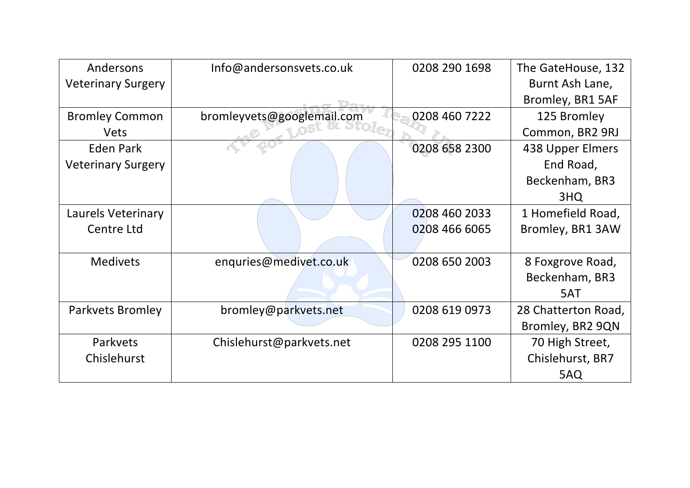| Andersons                 | Info@andersonsvets.co.uk   | 0208 290 1698 | The GateHouse, 132  |
|---------------------------|----------------------------|---------------|---------------------|
| <b>Veterinary Surgery</b> |                            |               | Burnt Ash Lane,     |
|                           |                            |               | Bromley, BR1 5AF    |
| <b>Bromley Common</b>     | bromleyvets@googlemail.com | 0208 460 7222 | 125 Bromley         |
| <b>Vets</b>               |                            |               | Common, BR2 9RJ     |
| <b>Eden Park</b>          |                            | 0208 658 2300 | 438 Upper Elmers    |
| <b>Veterinary Surgery</b> |                            |               | End Road,           |
|                           |                            |               | Beckenham, BR3      |
|                           |                            |               | 3HQ                 |
| Laurels Veterinary        |                            | 0208 460 2033 | 1 Homefield Road,   |
| Centre Ltd                |                            | 0208 466 6065 | Bromley, BR1 3AW    |
|                           |                            |               |                     |
| <b>Medivets</b>           | enquries@medivet.co.uk     | 0208 650 2003 | 8 Foxgrove Road,    |
|                           |                            |               | Beckenham, BR3      |
|                           |                            |               | 5AT                 |
| Parkvets Bromley          | bromley@parkvets.net       | 0208 619 0973 | 28 Chatterton Road, |
|                           |                            |               | Bromley, BR2 9QN    |
| Parkvets                  | Chislehurst@parkvets.net   | 0208 295 1100 | 70 High Street,     |
| Chislehurst               |                            |               | Chislehurst, BR7    |
|                           |                            |               | 5AQ                 |